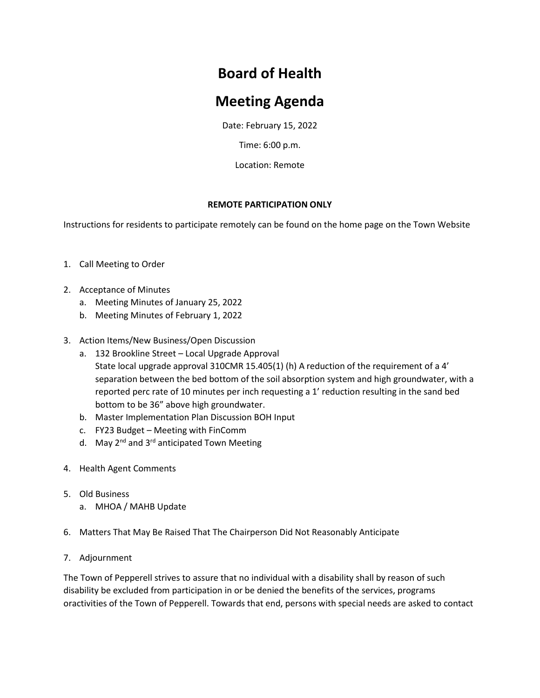## **Board of Health**

## **Meeting Agenda**

Date: February 15, 2022

Time: 6:00 p.m.

Location: Remote

## **REMOTE PARTICIPATION ONLY**

Instructions for residents to participate remotely can be found on the home page on the Town Website

- 1. Call Meeting to Order
- 2. Acceptance of Minutes
	- a. Meeting Minutes of January 25, 2022
	- b. Meeting Minutes of February 1, 2022
- 3. Action Items/New Business/Open Discussion
	- a. 132 Brookline Street Local Upgrade Approval State local upgrade approval 310CMR 15.405(1) (h) A reduction of the requirement of a 4' separation between the bed bottom of the soil absorption system and high groundwater, with a reported perc rate of 10 minutes per inch requesting a 1' reduction resulting in the sand bed bottom to be 36" above high groundwater.
	- b. Master Implementation Plan Discussion BOH Input
	- c. FY23 Budget Meeting with FinComm
	- d. May  $2^{nd}$  and  $3^{rd}$  anticipated Town Meeting
- 4. Health Agent Comments
- 5. Old Business
	- a. MHOA / MAHB Update
- 6. Matters That May Be Raised That The Chairperson Did Not Reasonably Anticipate
- 7. Adjournment

The Town of Pepperell strives to assure that no individual with a disability shall by reason of such disability be excluded from participation in or be denied the benefits of the services, programs oractivities of the Town of Pepperell. Towards that end, persons with special needs are asked to contact